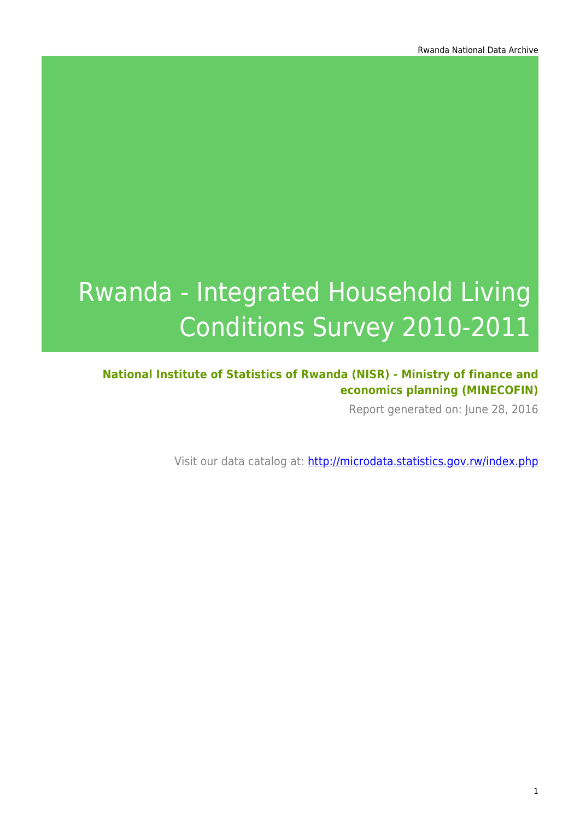# Rwanda - Integrated Household Living Conditions Survey 2010-2011

### **National Institute of Statistics of Rwanda (NISR) - Ministry of finance and economics planning (MINECOFIN)**

Report generated on: June 28, 2016

Visit our data catalog at: http://microdata.statistics.gov.rw/index.php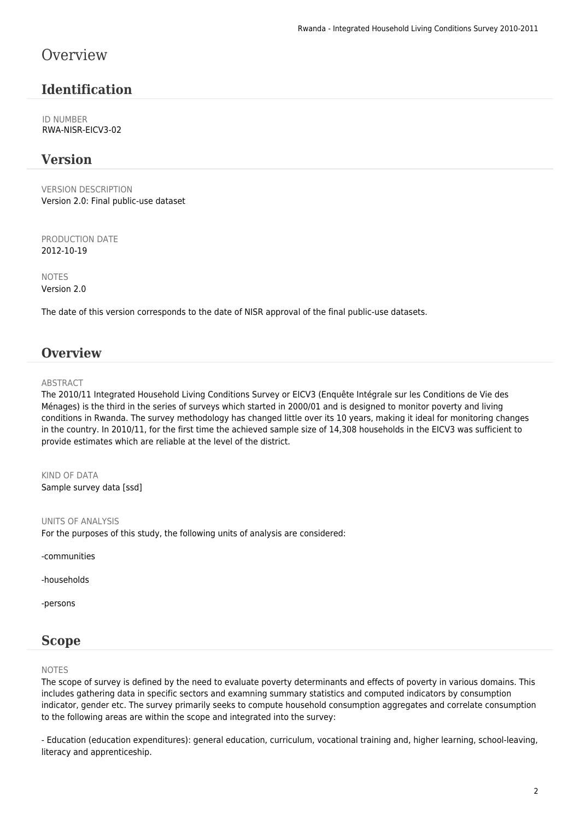### **Overview**

### **Identification**

ID NUMBER RWA-NISR-EICV3-02

### **Version**

VERSION DESCRIPTION Version 2.0: Final public-use dataset

PRODUCTION DATE 2012-10-19

NOTES Version 2.0

The date of this version corresponds to the date of NISR approval of the final public-use datasets.

### **Overview**

#### ABSTRACT

The 2010/11 Integrated Household Living Conditions Survey or EICV3 (Enquête Intégrale sur les Conditions de Vie des Ménages) is the third in the series of surveys which started in 2000/01 and is designed to monitor poverty and living conditions in Rwanda. The survey methodology has changed little over its 10 years, making it ideal for monitoring changes in the country. In 2010/11, for the first time the achieved sample size of 14,308 households in the EICV3 was sufficient to provide estimates which are reliable at the level of the district.

KIND OF DATA Sample survey data [ssd]

UNITS OF ANALYSIS For the purposes of this study, the following units of analysis are considered:

-communities

-households

-persons

### **Scope**

#### NOTES

The scope of survey is defined by the need to evaluate poverty determinants and effects of poverty in various domains. This includes gathering data in specific sectors and examning summary statistics and computed indicators by consumption indicator, gender etc. The survey primarily seeks to compute household consumption aggregates and correlate consumption to the following areas are within the scope and integrated into the survey:

- Education (education expenditures): general education, curriculum, vocational training and, higher learning, school-leaving, literacy and apprenticeship.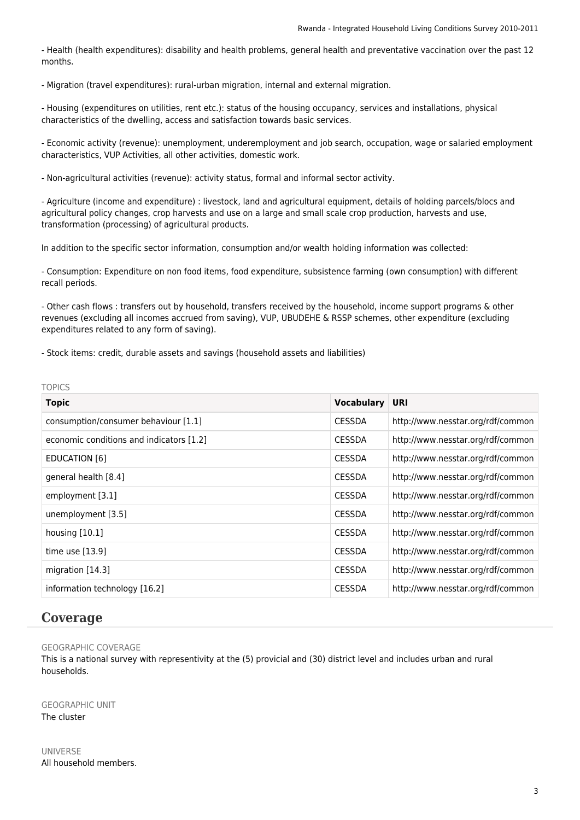- Health (health expenditures): disability and health problems, general health and preventative vaccination over the past 12 months.

- Migration (travel expenditures): rural-urban migration, internal and external migration.

- Housing (expenditures on utilities, rent etc.): status of the housing occupancy, services and installations, physical characteristics of the dwelling, access and satisfaction towards basic services.

- Economic activity (revenue): unemployment, underemployment and job search, occupation, wage or salaried employment characteristics, VUP Activities, all other activities, domestic work.

- Non-agricultural activities (revenue): activity status, formal and informal sector activity.

- Agriculture (income and expenditure) : livestock, land and agricultural equipment, details of holding parcels/blocs and agricultural policy changes, crop harvests and use on a large and small scale crop production, harvests and use, transformation (processing) of agricultural products.

In addition to the specific sector information, consumption and/or wealth holding information was collected:

- Consumption: Expenditure on non food items, food expenditure, subsistence farming (own consumption) with different recall periods.

- Other cash flows : transfers out by household, transfers received by the household, income support programs & other revenues (excluding all incomes accrued from saving), VUP, UBUDEHE & RSSP schemes, other expenditure (excluding expenditures related to any form of saving).

- Stock items: credit, durable assets and savings (household assets and liabilities)

| the contract of the contract of |  | ___ |
|---------------------------------|--|-----|
|---------------------------------|--|-----|

| <b>Topic</b>                             | <b>Vocabulary</b> | URI                               |
|------------------------------------------|-------------------|-----------------------------------|
| consumption/consumer behaviour [1.1]     | <b>CESSDA</b>     | http://www.nesstar.org/rdf/common |
| economic conditions and indicators [1.2] | <b>CESSDA</b>     | http://www.nesstar.org/rdf/common |
| <b>EDUCATION [6]</b>                     | <b>CESSDA</b>     | http://www.nesstar.org/rdf/common |
| general health [8.4]                     | <b>CESSDA</b>     | http://www.nesstar.org/rdf/common |
| employment [3.1]                         | <b>CESSDA</b>     | http://www.nesstar.org/rdf/common |
| unemployment [3.5]                       | <b>CESSDA</b>     | http://www.nesstar.org/rdf/common |
| housing [10.1]                           | <b>CESSDA</b>     | http://www.nesstar.org/rdf/common |
| time use [13.9]                          | <b>CESSDA</b>     | http://www.nesstar.org/rdf/common |
| migration [14.3]                         | <b>CESSDA</b>     | http://www.nesstar.org/rdf/common |
| information technology [16.2]            | <b>CESSDA</b>     | http://www.nesstar.org/rdf/common |

### **Coverage**

#### GEOGRAPHIC COVERAGE

This is a national survey with representivity at the (5) provicial and (30) district level and includes urban and rural households.

GEOGRAPHIC UNIT The cluster

UNIVERSE All household members.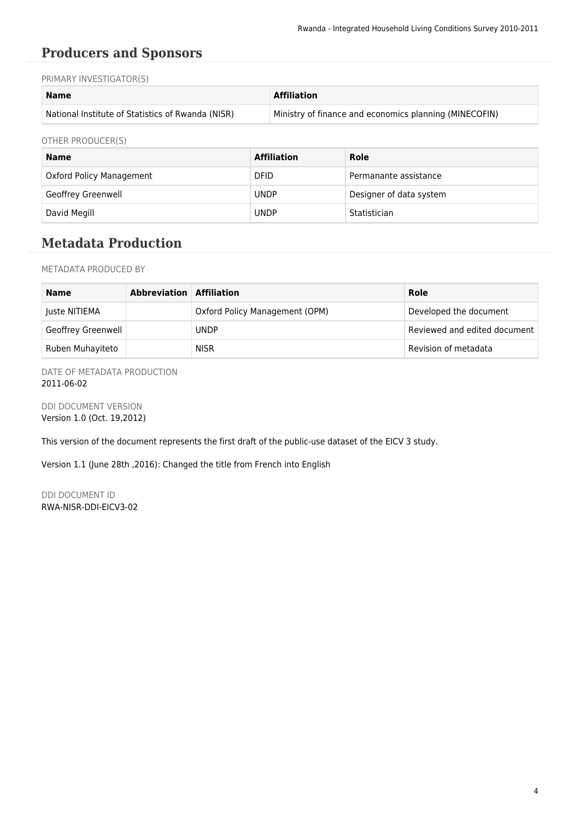## **Producers and Sponsors**

PRIMARY INVESTIGATOR(S)

| <b>Name</b>                                       | <b>Affiliation</b>                                     |
|---------------------------------------------------|--------------------------------------------------------|
| National Institute of Statistics of Rwanda (NISR) | Ministry of finance and economics planning (MINECOFIN) |

OTHER PRODUCER(S)

| <b>Name</b>                     | <b>Affiliation</b> | <b>Role</b>             |
|---------------------------------|--------------------|-------------------------|
| <b>Oxford Policy Management</b> | <b>DFID</b>        | Permanante assistance   |
| Geoffrey Greenwell              | <b>UNDP</b>        | Designer of data system |
| David Megill                    | <b>UNDP</b>        | Statistician            |

### **Metadata Production**

#### METADATA PRODUCED BY

| <b>Name</b>        | Abbreviation   Affiliation |                                | Role                         |
|--------------------|----------------------------|--------------------------------|------------------------------|
| Juste NITIEMA      |                            | Oxford Policy Management (OPM) | Developed the document       |
| Geoffrey Greenwell |                            | UNDP                           | Reviewed and edited document |
| Ruben Muhayiteto   |                            | <b>NISR</b>                    | Revision of metadata         |

### DATE OF METADATA PRODUCTION 2011-06-02

DDI DOCUMENT VERSION Version 1.0 (Oct. 19,2012)

This version of the document represents the first draft of the public-use dataset of the EICV 3 study.

Version 1.1 (June 28th ,2016): Changed the title from French into English

DDI DOCUMENT ID RWA-NISR-DDI-EICV3-02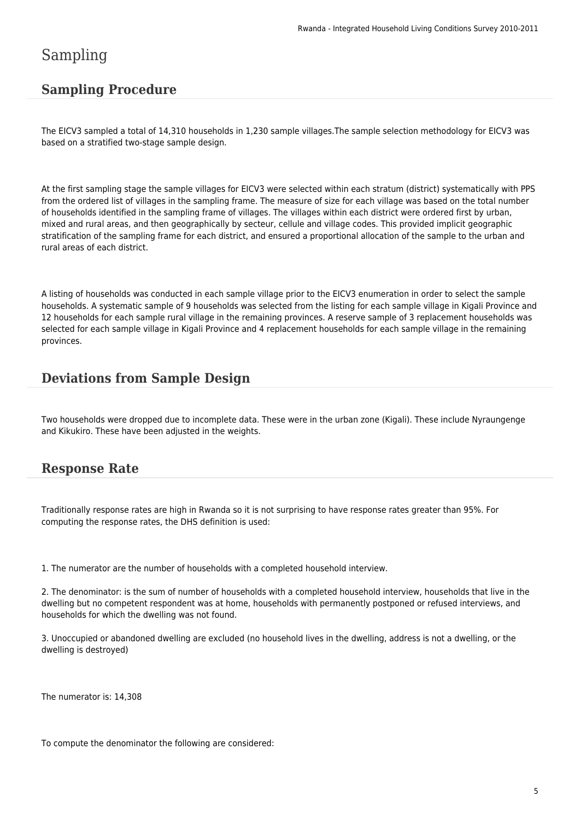# Sampling

### **Sampling Procedure**

The EICV3 sampled a total of 14,310 households in 1,230 sample villages.The sample selection methodology for EICV3 was based on a stratified two-stage sample design.

At the first sampling stage the sample villages for EICV3 were selected within each stratum (district) systematically with PPS from the ordered list of villages in the sampling frame. The measure of size for each village was based on the total number of households identified in the sampling frame of villages. The villages within each district were ordered first by urban, mixed and rural areas, and then geographically by secteur, cellule and village codes. This provided implicit geographic stratification of the sampling frame for each district, and ensured a proportional allocation of the sample to the urban and rural areas of each district.

A listing of households was conducted in each sample village prior to the EICV3 enumeration in order to select the sample households. A systematic sample of 9 households was selected from the listing for each sample village in Kigali Province and 12 households for each sample rural village in the remaining provinces. A reserve sample of 3 replacement households was selected for each sample village in Kigali Province and 4 replacement households for each sample village in the remaining provinces.

### **Deviations from Sample Design**

Two households were dropped due to incomplete data. These were in the urban zone (Kigali). These include Nyraungenge and Kikukiro. These have been adjusted in the weights.

### **Response Rate**

Traditionally response rates are high in Rwanda so it is not surprising to have response rates greater than 95%. For computing the response rates, the DHS definition is used:

1. The numerator are the number of households with a completed household interview.

2. The denominator: is the sum of number of households with a completed household interview, households that live in the dwelling but no competent respondent was at home, households with permanently postponed or refused interviews, and households for which the dwelling was not found.

3. Unoccupied or abandoned dwelling are excluded (no household lives in the dwelling, address is not a dwelling, or the dwelling is destroyed)

The numerator is: 14,308

To compute the denominator the following are considered: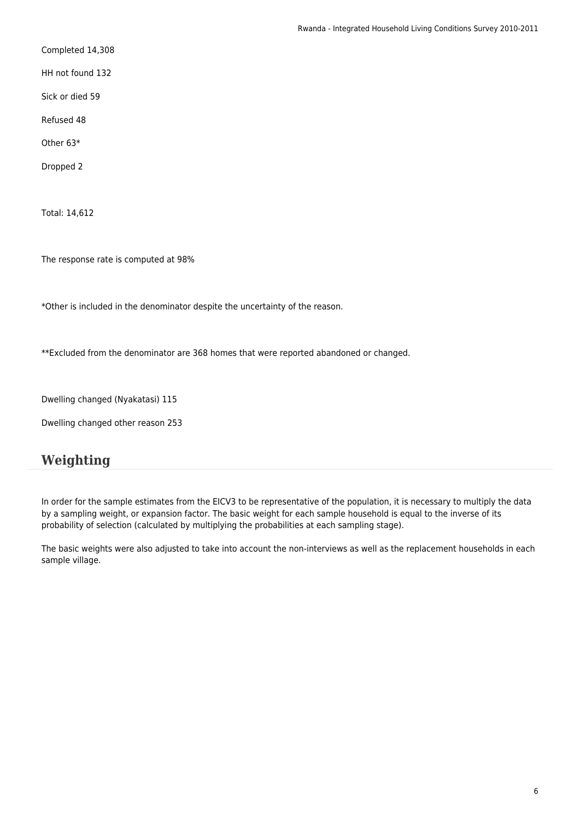Completed 14,308

HH not found 132

Sick or died 59

Refused 48

Other 63\*

Dropped 2

Total: 14,612

The response rate is computed at 98%

\*Other is included in the denominator despite the uncertainty of the reason.

\*\*Excluded from the denominator are 368 homes that were reported abandoned or changed.

Dwelling changed (Nyakatasi) 115

Dwelling changed other reason 253

### **Weighting**

In order for the sample estimates from the EICV3 to be representative of the population, it is necessary to multiply the data by a sampling weight, or expansion factor. The basic weight for each sample household is equal to the inverse of its probability of selection (calculated by multiplying the probabilities at each sampling stage).

The basic weights were also adjusted to take into account the non-interviews as well as the replacement households in each sample village.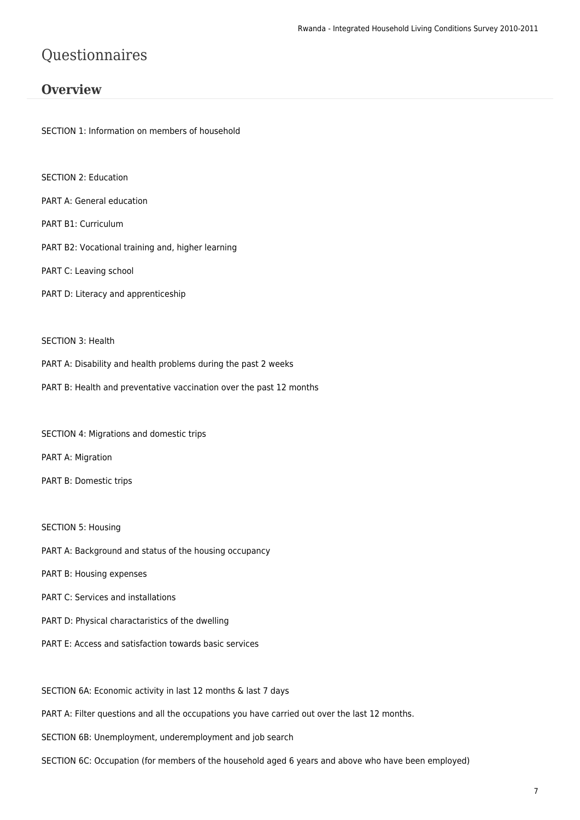# Questionnaires

### **Overview**

SECTION 1: Information on members of household

- SECTION 2: Education
- PART A: General education
- PART B1: Curriculum
- PART B2: Vocational training and, higher learning
- PART C: Leaving school
- PART D: Literacy and apprenticeship

#### SECTION 3: Health

- PART A: Disability and health problems during the past 2 weeks
- PART B: Health and preventative vaccination over the past 12 months
- SECTION 4: Migrations and domestic trips
- PART A: Migration
- PART B: Domestic trips
- SECTION 5: Housing
- PART A: Background and status of the housing occupancy
- PART B: Housing expenses
- PART C: Services and installations
- PART D: Physical charactaristics of the dwelling
- PART E: Access and satisfaction towards basic services

SECTION 6A: Economic activity in last 12 months & last 7 days

PART A: Filter questions and all the occupations you have carried out over the last 12 months.

- SECTION 6B: Unemployment, underemployment and job search
- SECTION 6C: Occupation (for members of the household aged 6 years and above who have been employed)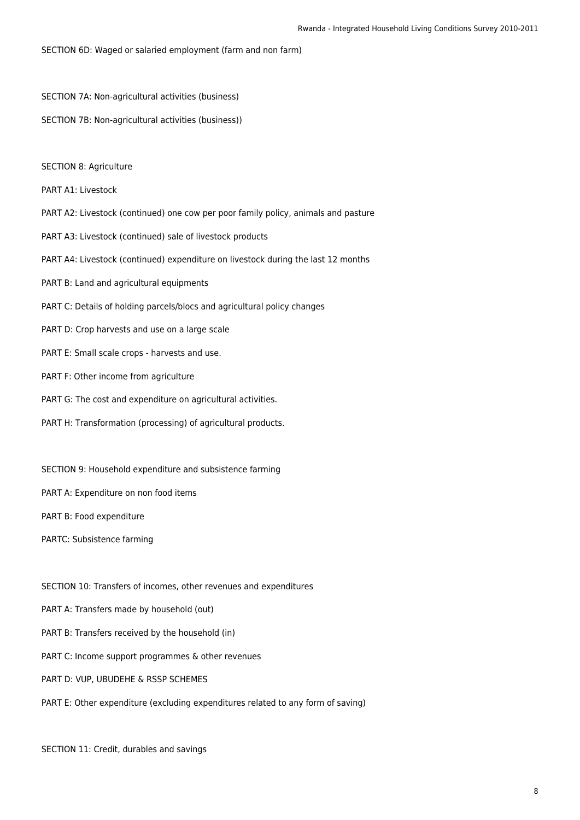SECTION 6D: Waged or salaried employment (farm and non farm)

SECTION 7A: Non-agricultural activities (business)

SECTION 7B: Non-agricultural activities (business))

#### SECTION 8: Agriculture

PART A1: Livestock

- PART A2: Livestock (continued) one cow per poor family policy, animals and pasture
- PART A3: Livestock (continued) sale of livestock products
- PART A4: Livestock (continued) expenditure on livestock during the last 12 months
- PART B: Land and agricultural equipments
- PART C: Details of holding parcels/blocs and agricultural policy changes
- PART D: Crop harvests and use on a large scale
- PART E: Small scale crops harvests and use.
- PART F: Other income from agriculture
- PART G: The cost and expenditure on agricultural activities.
- PART H: Transformation (processing) of agricultural products.

SECTION 9: Household expenditure and subsistence farming

PART A: Expenditure on non food items

PART B: Food expenditure

PARTC: Subsistence farming

SECTION 10: Transfers of incomes, other revenues and expenditures

- PART A: Transfers made by household (out)
- PART B: Transfers received by the household (in)
- PART C: Income support programmes & other revenues
- PART D: VUP, UBUDEHE & RSSP SCHEMES
- PART E: Other expenditure (excluding expenditures related to any form of saving)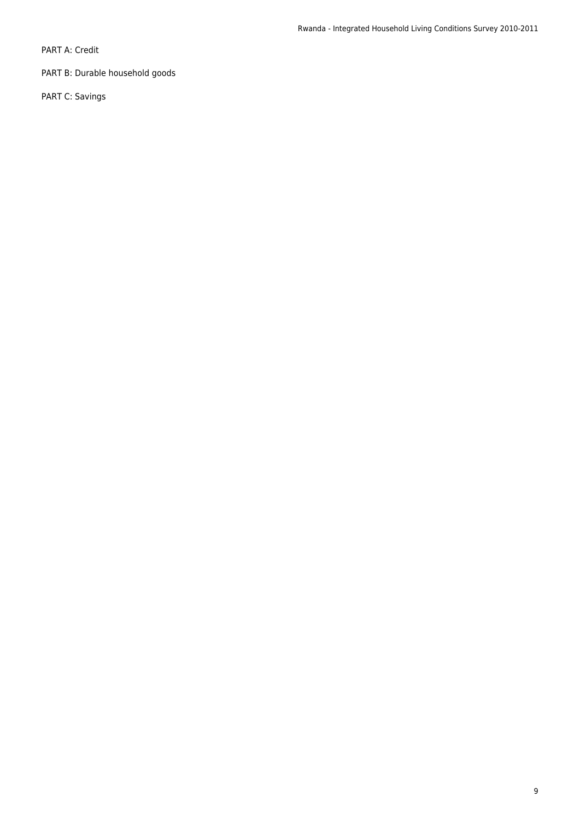PART A: Credit

PART B: Durable household goods

PART C: Savings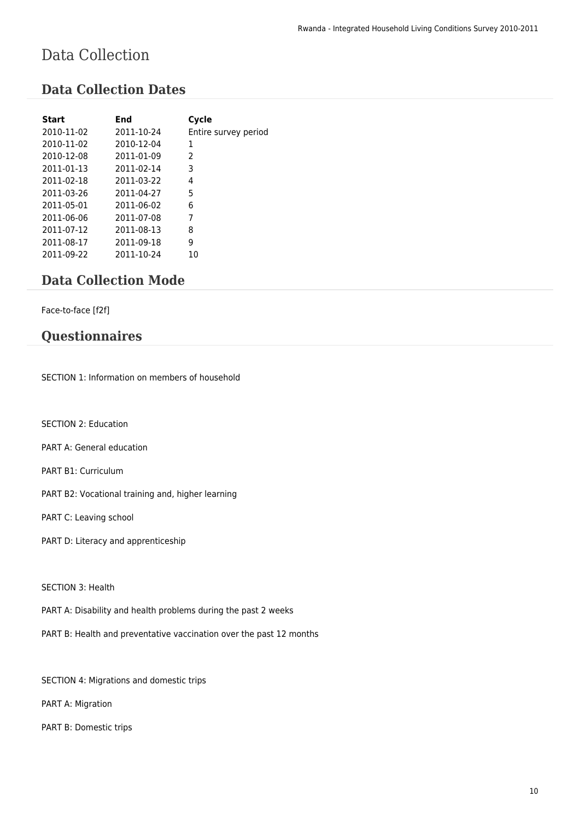# Data Collection

### **Data Collection Dates**

| End        | Cycle                |
|------------|----------------------|
| 2011-10-24 | Entire survey period |
| 2010-12-04 | 1                    |
| 2011-01-09 | 2                    |
| 2011-02-14 | 3                    |
| 2011-03-22 | 4                    |
| 2011-04-27 | 5                    |
| 2011-06-02 | 6                    |
| 2011-07-08 | 7                    |
| 2011-08-13 | 8                    |
| 2011-09-18 | 9                    |
| 2011-10-24 | 10                   |
|            |                      |

### **Data Collection Mode**

Face-to-face [f2f]

### **Questionnaires**

SECTION 1: Information on members of household

SECTION 2: Education

PART A: General education

PART B1: Curriculum

PART B2: Vocational training and, higher learning

PART C: Leaving school

PART D: Literacy and apprenticeship

SECTION 3: Health

PART A: Disability and health problems during the past 2 weeks

PART B: Health and preventative vaccination over the past 12 months

SECTION 4: Migrations and domestic trips

PART A: Migration

PART B: Domestic trips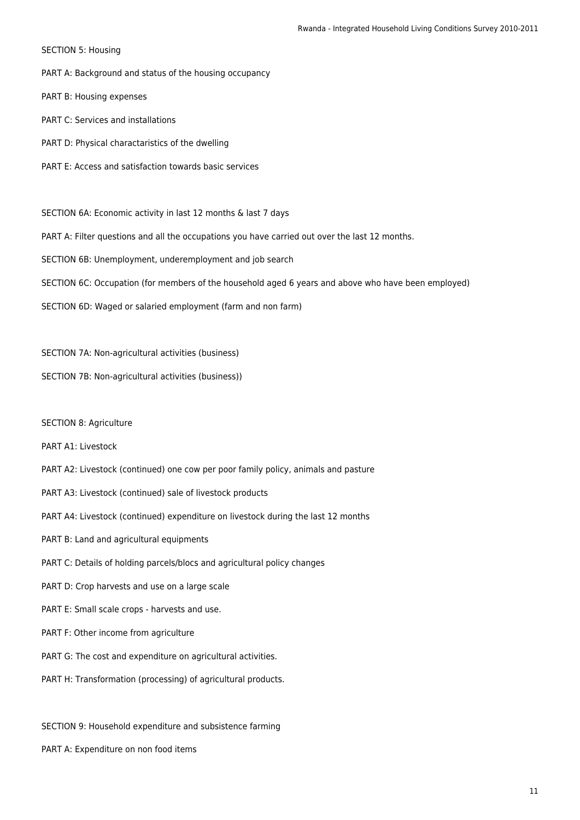#### SECTION 5: Housing

PART A: Background and status of the housing occupancy

- PART B: Housing expenses
- PART C: Services and installations
- PART D: Physical charactaristics of the dwelling
- PART E: Access and satisfaction towards basic services

SECTION 6A: Economic activity in last 12 months & last 7 days

PART A: Filter questions and all the occupations you have carried out over the last 12 months.

SECTION 6B: Unemployment, underemployment and job search

SECTION 6C: Occupation (for members of the household aged 6 years and above who have been employed)

SECTION 6D: Waged or salaried employment (farm and non farm)

SECTION 7A: Non-agricultural activities (business)

SECTION 7B: Non-agricultural activities (business))

#### SECTION 8: Agriculture

PART A1: Livestock

- PART A2: Livestock (continued) one cow per poor family policy, animals and pasture
- PART A3: Livestock (continued) sale of livestock products
- PART A4: Livestock (continued) expenditure on livestock during the last 12 months
- PART B: Land and agricultural equipments
- PART C: Details of holding parcels/blocs and agricultural policy changes
- PART D: Crop harvests and use on a large scale
- PART E: Small scale crops harvests and use.
- PART F: Other income from agriculture
- PART G: The cost and expenditure on agricultural activities.
- PART H: Transformation (processing) of agricultural products.

SECTION 9: Household expenditure and subsistence farming

PART A: Expenditure on non food items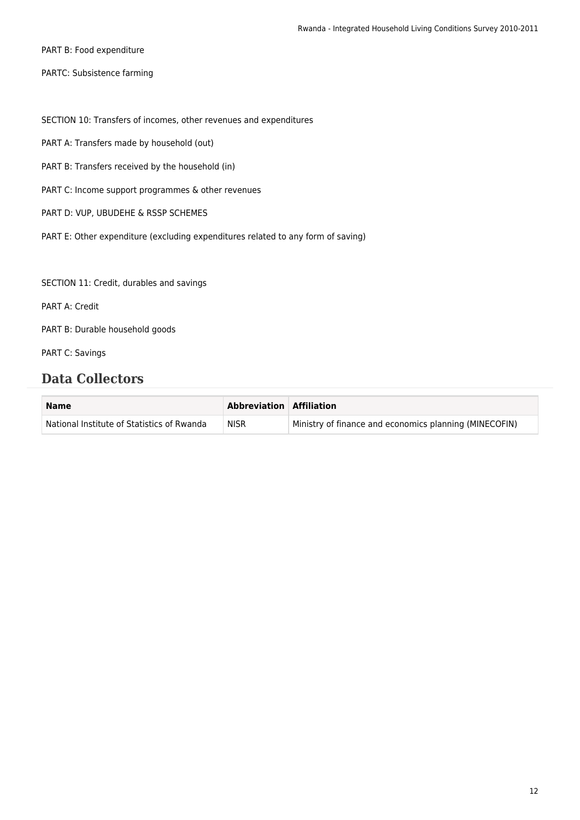PART B: Food expenditure

PARTC: Subsistence farming

SECTION 10: Transfers of incomes, other revenues and expenditures

PART A: Transfers made by household (out)

- PART B: Transfers received by the household (in)
- PART C: Income support programmes & other revenues
- PART D: VUP, UBUDEHE & RSSP SCHEMES
- PART E: Other expenditure (excluding expenditures related to any form of saving)

SECTION 11: Credit, durables and savings

PART A: Credit

PART B: Durable household goods

PART C: Savings

### **Data Collectors**

| <b>Name</b>                                | Abbreviation Affiliation |                                                        |
|--------------------------------------------|--------------------------|--------------------------------------------------------|
| National Institute of Statistics of Rwanda | <b>NISR</b>              | Ministry of finance and economics planning (MINECOFIN) |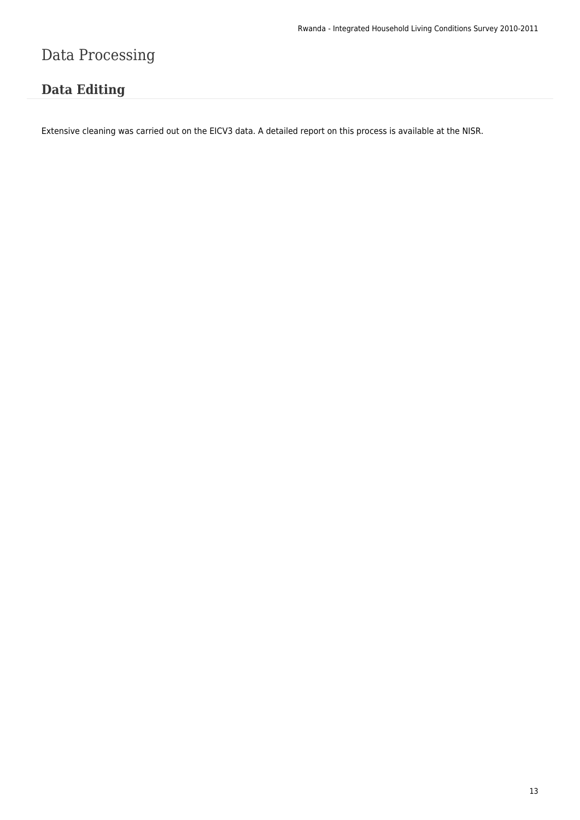# Data Processing

## **Data Editing**

Extensive cleaning was carried out on the EICV3 data. A detailed report on this process is available at the NISR.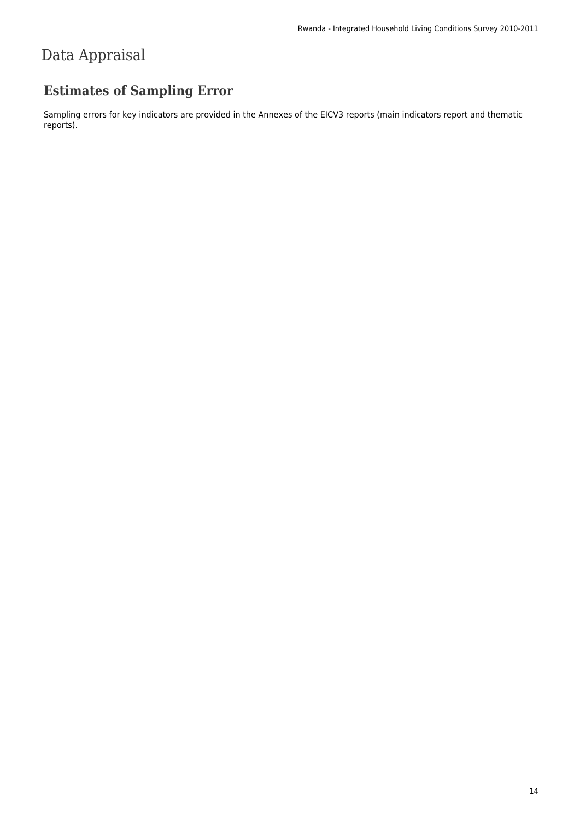# Data Appraisal

### **Estimates of Sampling Error**

Sampling errors for key indicators are provided in the Annexes of the EICV3 reports (main indicators report and thematic reports).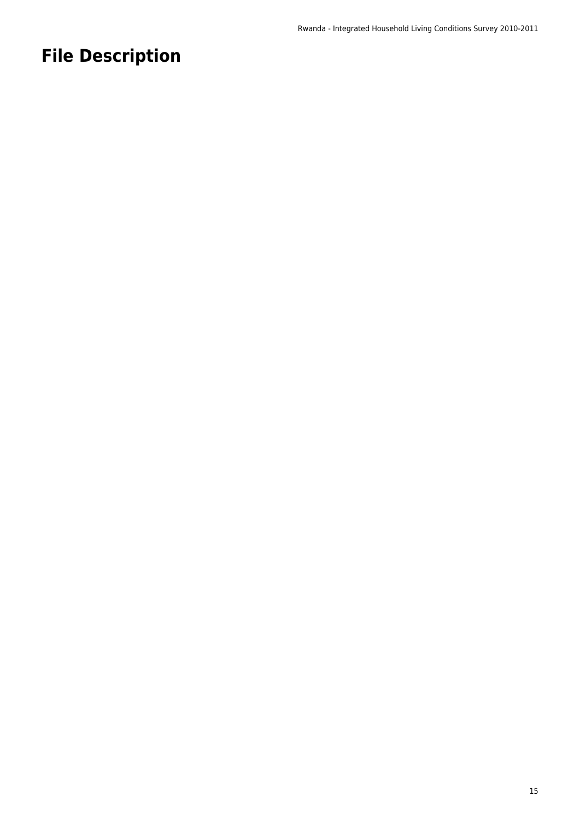# **File Description**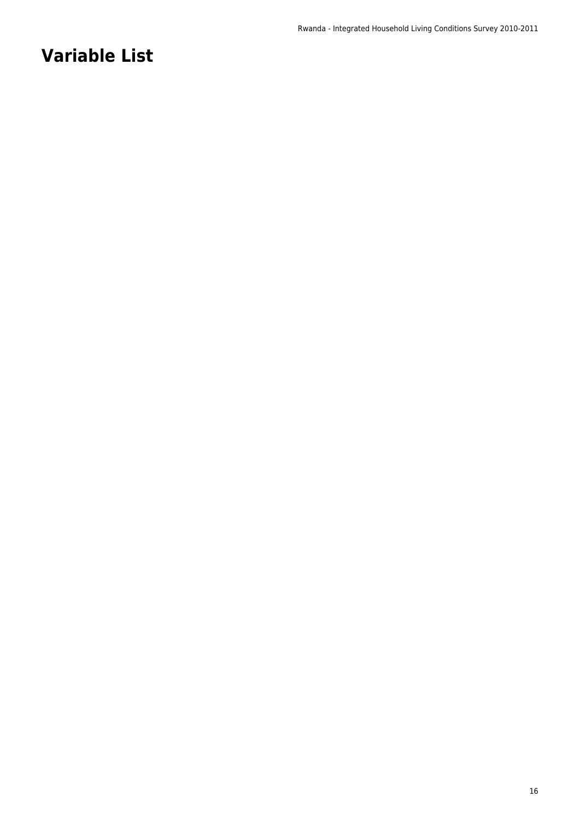# **Variable List**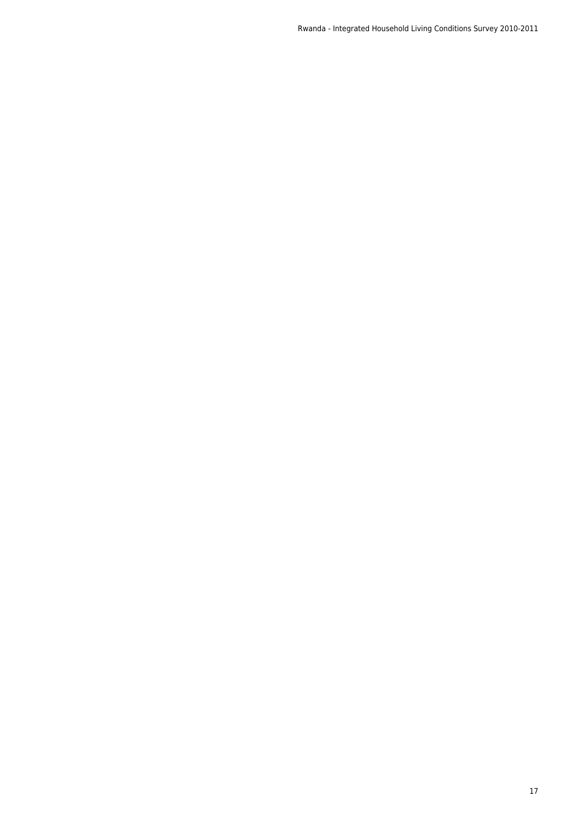Rwanda - Integrated Household Living Conditions Survey 2010-2011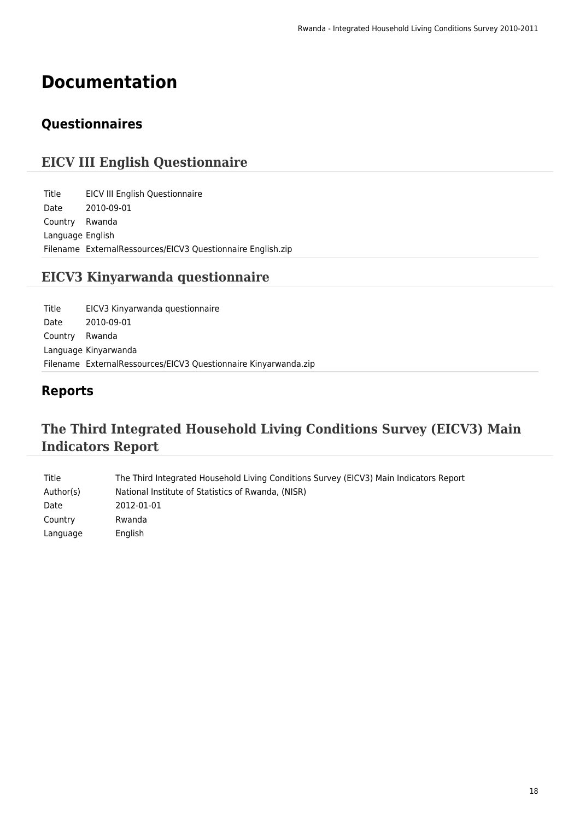# **Documentation**

### **Questionnaires**

### **EICV III English Questionnaire**

Title EICV III English Questionnaire Date 2010-09-01 Country Rwanda Language English Filename ExternalRessources/EICV3 Questionnaire English.zip

### **EICV3 Kinyarwanda questionnaire**

Title EICV3 Kinyarwanda questionnaire Date 2010-09-01 Country Rwanda Language Kinyarwanda Filename ExternalRessources/EICV3 Questionnaire Kinyarwanda.zip

### **Reports**

## **The Third Integrated Household Living Conditions Survey (EICV3) Main Indicators Report**

| Title     | The Third Integrated Household Living Conditions Survey (EICV3) Main Indicators Report |
|-----------|----------------------------------------------------------------------------------------|
| Author(s) | National Institute of Statistics of Rwanda, (NISR)                                     |
| Date      | 2012-01-01                                                                             |
| Country   | Rwanda                                                                                 |
| Language  | English                                                                                |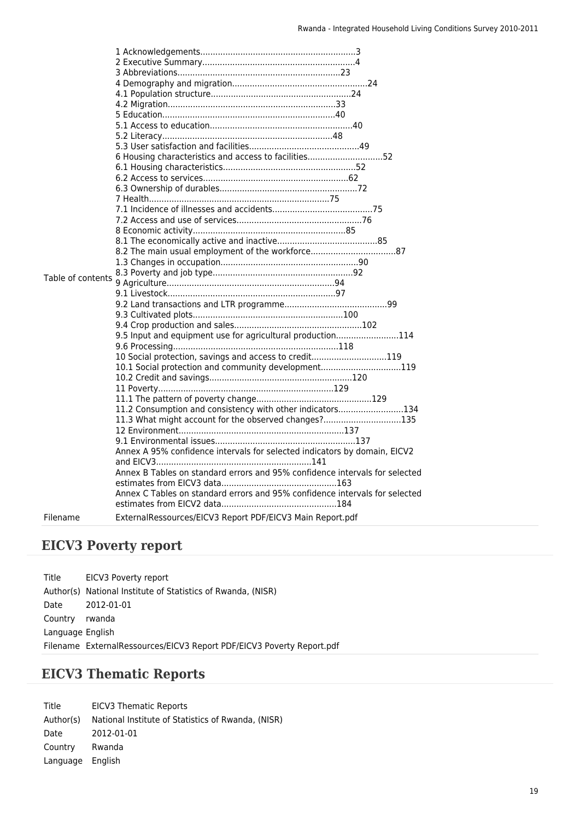| 6 Housing characteristics and access to facilities52                        |  |
|-----------------------------------------------------------------------------|--|
|                                                                             |  |
|                                                                             |  |
|                                                                             |  |
|                                                                             |  |
|                                                                             |  |
|                                                                             |  |
|                                                                             |  |
|                                                                             |  |
| 8.2 The main usual employment of the workforce87                            |  |
|                                                                             |  |
|                                                                             |  |
| Table of contents                                                           |  |
|                                                                             |  |
|                                                                             |  |
|                                                                             |  |
|                                                                             |  |
| 9.5 Input and equipment use for agricultural production114                  |  |
|                                                                             |  |
| 10 Social protection, savings and access to credit119                       |  |
| 10.1 Social protection and community development119                         |  |
|                                                                             |  |
|                                                                             |  |
|                                                                             |  |
| 11.2 Consumption and consistency with other indicators134                   |  |
| 11.3 What might account for the observed changes?135                        |  |
|                                                                             |  |
|                                                                             |  |
| Annex A 95% confidence intervals for selected indicators by domain, EICV2   |  |
|                                                                             |  |
| Annex B Tables on standard errors and 95% confidence intervals for selected |  |
|                                                                             |  |
| Annex C Tables on standard errors and 95% confidence intervals for selected |  |
|                                                                             |  |
| ExternalRessources/EICV3 Report PDF/EICV3 Main Report.pdf<br>Filename       |  |

### **EICV3 Poverty report**

Title EICV3 Poverty report Author(s) National Institute of Statistics of Rwanda, (NISR) Date 2012-01-01 Country rwanda Language English Filename ExternalRessources/EICV3 Report PDF/EICV3 Poverty Report.pdf

### **EICV3 Thematic Reports**

Title EICV3 Thematic Reports Author(s) National Institute of Statistics of Rwanda, (NISR) Date 2012-01-01 Country Rwanda Language English